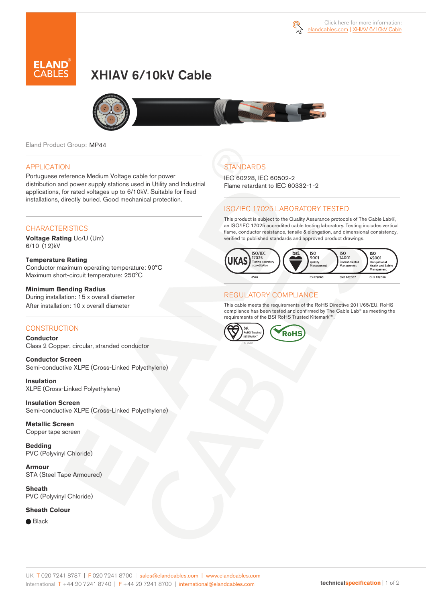

# XHIAV 6/10kV Cable



Eland Product Group: MP44

### APPLICATION

Portuguese reference Medium Voltage cable for power distribution and power supply stations used in Utility and Industrial applications, for rated voltages up to 6/10kV. Suitable for fixed installations, directly buried. Good mechanical protection.

#### **CHARACTERISTICS**

**Voltage Rating** Uo/U (Um) 6/10 (12)kV

**Temperature Rating**  Conductor maximum operating temperature: 90°C Maximum short-circuit temperature: 250°C

#### **Minimum Bending Radius**  During installation: 15 x overall diameter

After installation: 10 x overall diameter

### **CONSTRUCTION**

**Conductor**  Class 2 Copper, circular, stranded conductor

**Conductor Screen** Semi-conductive XLPE (Cross-Linked Polyethylene)

**Insulation** XLPE (Cross-Linked Polyethylene)

**Insulation Screen** Semi-conductive XLPE (Cross-Linked Polyethylene)

**Metallic Screen**  Copper tape screen

**Bedding** PVC (Polyvinyl Chloride)

**Armour** STA (Steel Tape Armoured)

**Sheath** PVC (Polyvinyl Chloride)

**Sheath Colour** 

● Black

## **STANDARDS**

IEC 60228, IEC 60502-2 Flame retardant to IEC 60332-1-2

### ISO/IEC 17025 LABORATORY TESTED

This product is subject to the Quality Assurance protocols of The Cable Lab®, an ISO/IEC 17025 accredited cable testing laboratory. Testing includes vertical flame, conductor resistance, tensile & elongation, and dimensional consistency, verified to published standards and approved product drawings.



### REGULATORY COMPLIANCE

This cable meets the requirements of the RoHS Directive 2011/65/EU. RoHS compliance has been tested and confirmed by The Cable Lab® as meeting the requirements of the BSI RoHS Trusted Kitemark™